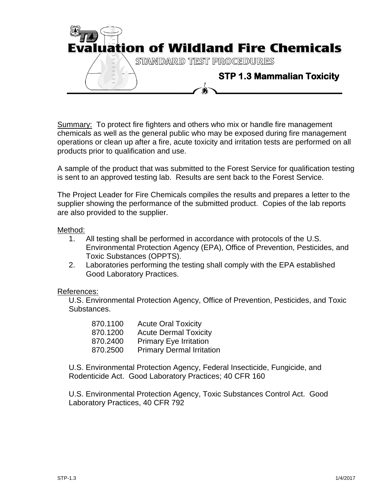

Summary: To protect fire fighters and others who mix or handle fire management chemicals as well as the general public who may be exposed during fire management operations or clean up after a fire, acute toxicity and irritation tests are performed on all products prior to qualification and use.

A sample of the product that was submitted to the Forest Service for qualification testing is sent to an approved testing lab. Results are sent back to the Forest Service.

The Project Leader for Fire Chemicals compiles the results and prepares a letter to the supplier showing the performance of the submitted product. Copies of the lab reports are also provided to the supplier.

## Method:

- 1. All testing shall be performed in accordance with protocols of the U.S. Environmental Protection Agency (EPA), Office of Prevention, Pesticides, and Toxic Substances (OPPTS).
- 2. Laboratories performing the testing shall comply with the EPA established Good Laboratory Practices.

## References:

U.S. Environmental Protection Agency, Office of Prevention, Pesticides, and Toxic Substances.

| 870.1100 | <b>Acute Oral Toxicity</b>       |
|----------|----------------------------------|
| 870.1200 | <b>Acute Dermal Toxicity</b>     |
| 870.2400 | <b>Primary Eye Irritation</b>    |
| 870.2500 | <b>Primary Dermal Irritation</b> |

U.S. Environmental Protection Agency, Federal Insecticide, Fungicide, and Rodenticide Act. Good Laboratory Practices; 40 CFR 160

U.S. Environmental Protection Agency, Toxic Substances Control Act. Good Laboratory Practices, 40 CFR 792